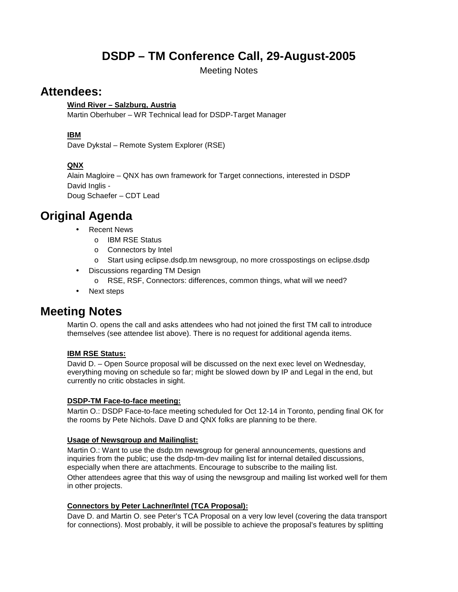# **DSDP – TM Conference Call, 29-August-2005**

Meeting Notes

### **Attendees:**

#### **Wind River – Salzburg, Austria**

Martin Oberhuber – WR Technical lead for DSDP-Target Manager

#### **IBM**

Dave Dykstal – Remote System Explorer (RSE)

#### **QNX**

Alain Magloire – QNX has own framework for Target connections, interested in DSDP David Inglis - Doug Schaefer – CDT Lead

## **Original Agenda**

- **Recent News** 
	- o IBM RSE Status
	- o Connectors by Intel
	- o Start using eclipse.dsdp.tm newsgroup, no more crosspostings on eclipse.dsdp
- Discussions regarding TM Design
	- o RSE, RSF, Connectors: differences, common things, what will we need?
- Next steps

## **Meeting Notes**

Martin O. opens the call and asks attendees who had not joined the first TM call to introduce themselves (see attendee list above). There is no request for additional agenda items.

#### **IBM RSE Status:**

David D. – Open Source proposal will be discussed on the next exec level on Wednesday, everything moving on schedule so far; might be slowed down by IP and Legal in the end, but currently no critic obstacles in sight.

#### **DSDP-TM Face-to-face meeting:**

Martin O.: DSDP Face-to-face meeting scheduled for Oct 12-14 in Toronto, pending final OK for the rooms by Pete Nichols. Dave D and QNX folks are planning to be there.

#### **Usage of Newsgroup and Mailinglist:**

Martin O.: Want to use the dsdp.tm newsgroup for general announcements, questions and inquiries from the public; use the dsdp-tm-dev mailing list for internal detailed discussions, especially when there are attachments. Encourage to subscribe to the mailing list. Other attendees agree that this way of using the newsgroup and mailing list worked well for them in other projects.

#### **Connectors by Peter Lachner/Intel (TCA Proposal):**

Dave D. and Martin O. see Peter's TCA Proposal on a very low level (covering the data transport for connections). Most probably, it will be possible to achieve the proposal's features by splitting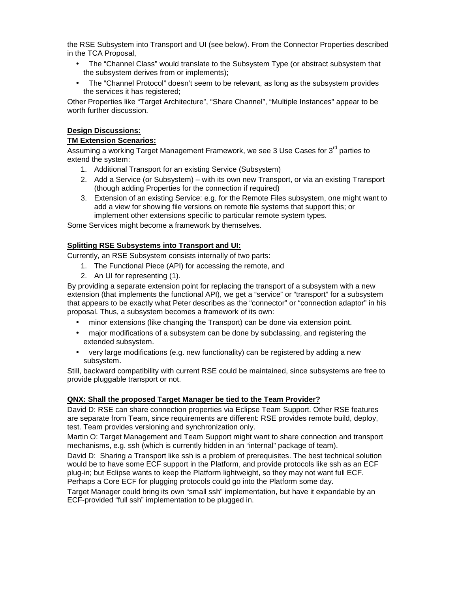the RSE Subsystem into Transport and UI (see below). From the Connector Properties described in the TCA Proposal,

- The "Channel Class" would translate to the Subsystem Type (or abstract subsystem that the subsystem derives from or implements);
- The "Channel Protocol" doesn't seem to be relevant, as long as the subsystem provides the services it has registered;

Other Properties like "Target Architecture", "Share Channel", "Multiple Instances" appear to be worth further discussion.

#### **Design Discussions:**

#### **TM Extension Scenarios:**

Assuming a working Target Management Framework, we see 3 Use Cases for 3<sup>rd</sup> parties to extend the system:

- 1. Additional Transport for an existing Service (Subsystem)
- 2. Add a Service (or Subsystem) with its own new Transport, or via an existing Transport (though adding Properties for the connection if required)
- 3. Extension of an existing Service: e.g. for the Remote Files subsystem, one might want to add a view for showing file versions on remote file systems that support this; or implement other extensions specific to particular remote system types.

Some Services might become a framework by themselves.

#### **Splitting RSE Subsystems into Transport and UI:**

Currently, an RSE Subsystem consists internally of two parts:

- 1. The Functional Piece (API) for accessing the remote, and
- 2. An UI for representing (1).

By providing a separate extension point for replacing the transport of a subsystem with a new extension (that implements the functional API), we get a "service" or "transport" for a subsystem that appears to be exactly what Peter describes as the "connector" or "connection adaptor" in his proposal. Thus, a subsystem becomes a framework of its own:

- minor extensions (like changing the Transport) can be done via extension point.
- major modifications of a subsystem can be done by subclassing, and registering the extended subsystem.
- very large modifications (e.g. new functionality) can be registered by adding a new subsystem.

Still, backward compatibility with current RSE could be maintained, since subsystems are free to provide pluggable transport or not.

#### **QNX: Shall the proposed Target Manager be tied to the Team Provider?**

David D: RSE can share connection properties via Eclipse Team Support. Other RSE features are separate from Team, since requirements are different: RSE provides remote build, deploy, test. Team provides versioning and synchronization only.

Martin O: Target Management and Team Support might want to share connection and transport mechanisms, e.g. ssh (which is currently hidden in an "internal" package of team).

David D: Sharing a Transport like ssh is a problem of prerequisites. The best technical solution would be to have some ECF support in the Platform, and provide protocols like ssh as an ECF plug-in; but Eclipse wants to keep the Platform lightweight, so they may not want full ECF. Perhaps a Core ECF for plugging protocols could go into the Platform some day.

Target Manager could bring its own "small ssh" implementation, but have it expandable by an ECF-provided "full ssh" implementation to be plugged in.